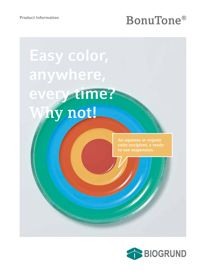# Product Information<br> **BonuTone®**

**Easy color, anywhere, every time? Why not!**

> **An aqueous or organic color excipient, a readyto-use suspension.**